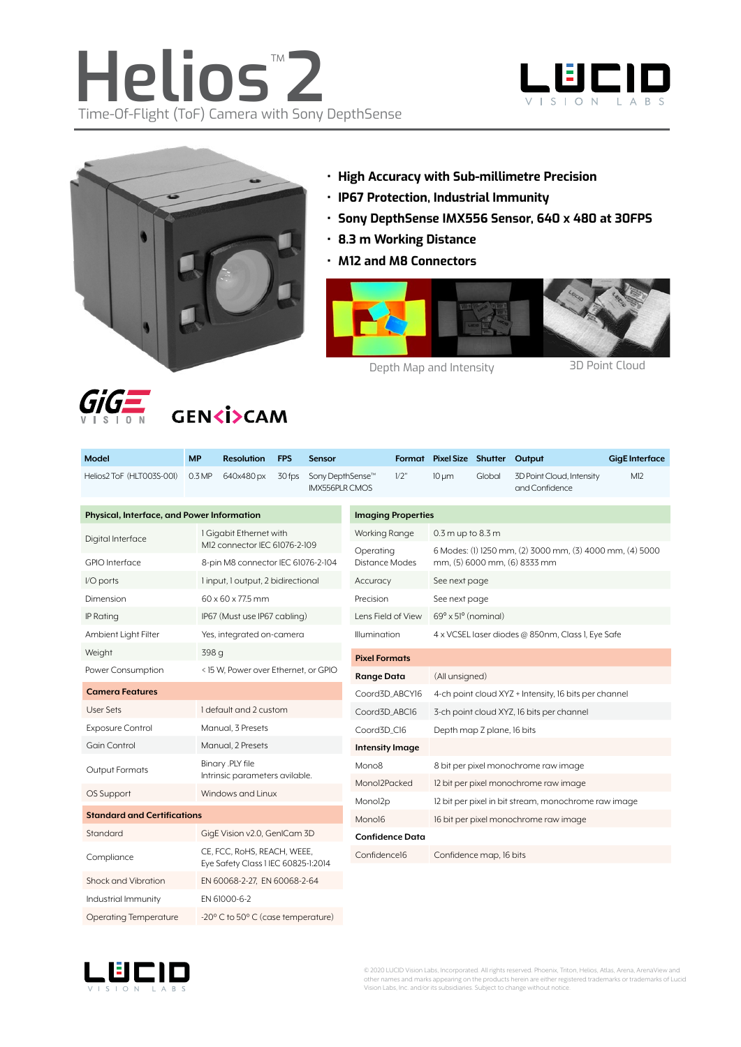





- **• High Accuracy with Sub-millimetre Precision**
- **• IP67 Protection, Industrial Immunity**
- **• Sony DepthSense IMX556 Sensor, 640 x 480 at 30FPS**
- **• 8.3 m Working Distance**
- **• M12 and M8 Connectors**



Depth Map and Intensity 3D Point Cloud



 $\overline{\mathcal{G}}$  $\overline{\mathcal{G}}$   $\overline{\mathcal{G}}$   $\overline{\mathcal{G}}$   $\overline{\mathcal{G}}$   $\overline{\mathcal{G}}$   $\overline{\mathcal{G}}$   $\overline{\mathcal{G}}$   $\overline{\mathcal{G}}$   $\overline{\mathcal{G}}$   $\overline{\mathcal{G}}$   $\overline{\mathcal{G}}$   $\overline{\mathcal{G}}$   $\overline{\mathcal{G}}$   $\overline{\mathcal{G}}$   $\overline{\mathcal{G}}$   $\overline{\mathcal{G}}$   $\overline{\mathcal{G}}$   $\overline{\math$ 

| Model                                      | <b>MP</b>                            | <b>Resolution</b>                                                  | <b>FPS</b> | <b>Sensor</b>                                         |                                       |                                                       | Format Pixel Size Shutter                                                                |        | Output                                      | <b>GigE</b> Interface |  |
|--------------------------------------------|--------------------------------------|--------------------------------------------------------------------|------------|-------------------------------------------------------|---------------------------------------|-------------------------------------------------------|------------------------------------------------------------------------------------------|--------|---------------------------------------------|-----------------------|--|
| Helios2 ToF (HLT003S-001)                  | 0.3 MP                               | 640x480 px                                                         | 30 fps     | Sony DepthSense <sup>™</sup><br><b>IMX556PLR CMOS</b> |                                       | 1/2"                                                  | $10 \mu m$                                                                               | Global | 3D Point Cloud, Intensity<br>and Confidence | M12                   |  |
| Physical, Interface, and Power Information |                                      |                                                                    |            | <b>Imaging Properties</b>                             |                                       |                                                       |                                                                                          |        |                                             |                       |  |
| Digital Interface                          |                                      | 1 Gigabit Ethernet with<br>M12 connector IEC 61076-2-109           |            |                                                       | Working Range                         |                                                       | $0.3$ m up to $8.3$ m                                                                    |        |                                             |                       |  |
| <b>GPIO</b> Interface                      |                                      | 8-pin M8 connector IEC 61076-2-104                                 |            |                                                       | Operating<br>Distance Modes           |                                                       | 6 Modes: (1) 1250 mm, (2) 3000 mm, (3) 4000 mm, (4) 5000<br>mm, (5) 6000 mm, (6) 8333 mm |        |                                             |                       |  |
| I/O ports                                  |                                      | 1 input, 1 output, 2 bidirectional                                 |            |                                                       | Accuracy                              |                                                       | See next page                                                                            |        |                                             |                       |  |
| Dimension                                  |                                      | 60 x 60 x 77.5 mm                                                  |            |                                                       |                                       | Precision                                             | See next page                                                                            |        |                                             |                       |  |
| <b>IP Rating</b>                           |                                      | IP67 (Must use IP67 cabling)                                       |            |                                                       |                                       | Lens Field of View                                    | $69^{\circ}$ x 51 $^{\circ}$ (nominal)                                                   |        |                                             |                       |  |
| Ambient Light Filter                       |                                      | Yes, integrated on-camera                                          |            |                                                       | <b>Illumination</b>                   |                                                       | 4 x VCSEL laser diodes @ 850nm, Class I, Eye Safe                                        |        |                                             |                       |  |
| Weight                                     |                                      | 398 g                                                              |            |                                                       | <b>Pixel Formats</b>                  |                                                       |                                                                                          |        |                                             |                       |  |
| Power Consumption                          | < 15 W, Power over Ethernet, or GPIO |                                                                    |            | <b>Range Data</b>                                     |                                       | (All unsigned)                                        |                                                                                          |        |                                             |                       |  |
| <b>Camera Features</b>                     |                                      |                                                                    |            |                                                       | Coord3D_ABCY16                        | 4-ch point cloud XYZ + Intensity, 16 bits per channel |                                                                                          |        |                                             |                       |  |
| <b>User Sets</b>                           |                                      | I default and 2 custom                                             |            |                                                       | Coord3D_ABC16                         |                                                       | 3-ch point cloud XYZ, 16 bits per channel                                                |        |                                             |                       |  |
| <b>Exposure Control</b>                    |                                      | Manual, 3 Presets                                                  |            |                                                       | Coord3D_C16                           |                                                       | Depth map Z plane, 16 bits                                                               |        |                                             |                       |  |
| <b>Gain Control</b>                        |                                      | Manual, 2 Presets                                                  |            |                                                       | <b>Intensity Image</b>                |                                                       |                                                                                          |        |                                             |                       |  |
| Output Formats                             |                                      | Binary .PLY file                                                   |            | Mono <sub>8</sub>                                     |                                       | 8 bit per pixel monochrome raw image                  |                                                                                          |        |                                             |                       |  |
| OS Support                                 |                                      | Intrinsic parameters avilable.                                     |            | Monol2Packed                                          |                                       | 12 bit per pixel monochrome raw image                 |                                                                                          |        |                                             |                       |  |
|                                            |                                      | Windows and Linux                                                  |            |                                                       | Monol2p                               |                                                       | 12 bit per pixel in bit stream, monochrome raw image                                     |        |                                             |                       |  |
| <b>Standard and Certifications</b>         |                                      |                                                                    | Mono16     |                                                       | 16 bit per pixel monochrome raw image |                                                       |                                                                                          |        |                                             |                       |  |
| Standard                                   |                                      | GigE Vision v2.0, GenICam 3D                                       |            |                                                       | <b>Confidence Data</b>                |                                                       |                                                                                          |        |                                             |                       |  |
| Compliance                                 |                                      | CE, FCC, RoHS, REACH, WEEE,<br>Eye Safety Class I IEC 60825-1:2014 |            |                                                       | Confidence16                          |                                                       | Confidence map, 16 bits                                                                  |        |                                             |                       |  |
| Shock and Vibration                        |                                      | EN 60068-2-27, EN 60068-2-64                                       |            |                                                       |                                       |                                                       |                                                                                          |        |                                             |                       |  |
| EN 61000-6-2<br>Industrial Immunity        |                                      |                                                                    |            |                                                       |                                       |                                                       |                                                                                          |        |                                             |                       |  |
| <b>Operating Temperature</b>               |                                      | -20° C to 50° C (case temperature)                                 |            |                                                       |                                       |                                                       |                                                                                          |        |                                             |                       |  |